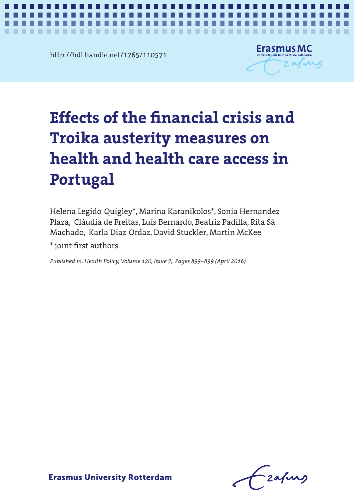http://hdl.handle.net/1765/110571

............

. .



*Effects of the financial crisis on health in Portugal* **1**

# Effects of the financial crisis and Troika austerity measures on **health and health care access in Portugal**

. . .

Helena Legido-Quigley\*, Marina Karanikolos\*, Sonia Hernandez-Plaza, Cláudia de Freitas, Luís Bernardo, Beatriz Padilla, Rita Sá Machado, Karla Diaz-Ordaz, David Stuckler, Martin McKee

\* joint first authors

*Published in: Health Policy, Volume 120, Issue 7, Pages 833–839 (April 2016)*

Zafurs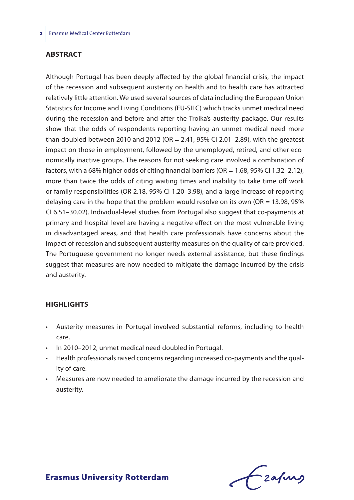## **Abstract**

Although Portugal has been deeply affected by the global financial crisis, the impact of the recession and subsequent austerity on health and to health care has attracted relatively little attention. We used several sources of data including the European Union Statistics for Income and Living Conditions (EU-SILC) which tracks unmet medical need during the recession and before and after the Troika's austerity package. Our results show that the odds of respondents reporting having an unmet medical need more than doubled between 2010 and 2012 (OR = 2.41, 95% CI 2.01-2.89), with the greatest impact on those in employment, followed by the unemployed, retired, and other economically inactive groups. The reasons for not seeking care involved a combination of factors, with a 68% higher odds of citing financial barriers ( $OR = 1.68$ ,  $95\%$  CI 1.32–2.12), more than twice the odds of citing waiting times and inability to take time off work or family responsibilities (OR 2.18, 95% CI 1.20–3.98), and a large increase of reporting delaying care in the hope that the problem would resolve on its own (OR = 13.98, 95% CI 6.51–30.02). Individual-level studies from Portugal also suggest that co-payments at primary and hospital level are having a negative effect on the most vulnerable living in disadvantaged areas, and that health care professionals have concerns about the impact of recession and subsequent austerity measures on the quality of care provided. The Portuguese government no longer needs external assistance, but these findings suggest that measures are now needed to mitigate the damage incurred by the crisis and austerity.

## **Highlights**

- Austerity measures in Portugal involved substantial reforms, including to health care.
- In 2010–2012, unmet medical need doubled in Portugal.
- Health professionals raised concerns regarding increased co-payments and the quality of care.
- Measures are now needed to ameliorate the damage incurred by the recession and austerity.

frafing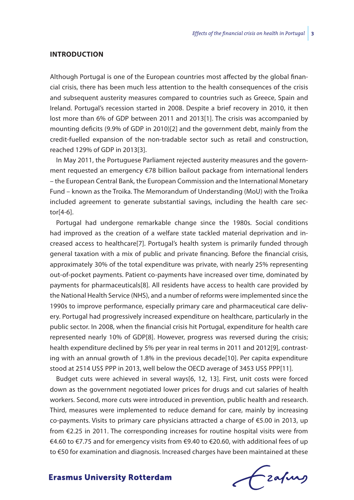## **Introduction**

Although Portugal is one of the European countries most affected by the global financial crisis, there has been much less attention to the health consequences of the crisis and subsequent austerity measures compared to countries such as Greece, Spain and Ireland. Portugal's recession started in 2008. Despite a brief recovery in 2010, it then lost more than 6% of GDP between 2011 and 2013[1]. The crisis was accompanied by mounting deficits (9.9% of GDP in 2010)[2] and the government debt, mainly from the credit-fuelled expansion of the non-tradable sector such as retail and construction, reached 129% of GDP in 2013[3].

In May 2011, the Portuguese Parliament rejected austerity measures and the government requested an emergency €78 billion bailout package from international lenders – the European Central Bank, the European Commission and the International Monetary Fund – known as the Troika. The Memorandum of Understanding (MoU) with the Troika included agreement to generate substantial savings, including the health care sector[4-6].

Portugal had undergone remarkable change since the 1980s. Social conditions had improved as the creation of a welfare state tackled material deprivation and increased access to healthcare[7]. Portugal's health system is primarily funded through general taxation with a mix of public and private financing. Before the financial crisis, approximately 30% of the total expenditure was private, with nearly 25% representing out-of-pocket payments. Patient co-payments have increased over time, dominated by payments for pharmaceuticals[8]. All residents have access to health care provided by the National Health Service (NHS), and a number of reforms were implemented since the 1990s to improve performance, especially primary care and pharmaceutical care delivery. Portugal had progressively increased expenditure on healthcare, particularly in the public sector. In 2008, when the financial crisis hit Portugal, expenditure for health care represented nearly 10% of GDP[8]. However, progress was reversed during the crisis; health expenditure declined by 5% per year in real terms in 2011 and 2012[9], contrasting with an annual growth of 1.8% in the previous decade[10]. Per capita expenditure stood at 2514 US\$ PPP in 2013, well below the OECD average of 3453 US\$ PPP[11].

Budget cuts were achieved in several ways[6, 12, 13]. First, unit costs were forced down as the government negotiated lower prices for drugs and cut salaries of health workers. Second, more cuts were introduced in prevention, public health and research. Third, measures were implemented to reduce demand for care, mainly by increasing co-payments. Visits to primary care physicians attracted a charge of €5.00 in 2013, up from €2.25 in 2011. The corresponding increases for routine hospital visits were from €4.60 to €7.75 and for emergency visits from €9.40 to €20.60, with additional fees of up to €50 for examination and diagnosis. Increased charges have been maintained at these

frafing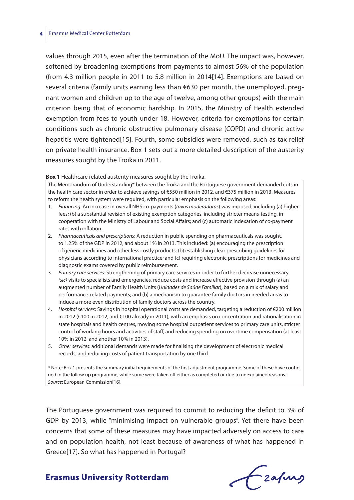#### **4** Erasmus Medical Center Rotterdam

values through 2015, even after the termination of the MoU. The impact was, however, softened by broadening exemptions from payments to almost 56% of the population (from 4.3 million people in 2011 to 5.8 million in 2014[14]. Exemptions are based on several criteria (family units earning less than €630 per month, the unemployed, pregnant women and children up to the age of twelve, among other groups) with the main criterion being that of economic hardship. In 2015, the Ministry of Health extended exemption from fees to youth under 18. However, criteria for exemptions for certain conditions such as chronic obstructive pulmonary disease (COPD) and chronic active hepatitis were tightened[15]. Fourth, some subsidies were removed, such as tax relief on private health insurance. Box 1 sets out a more detailed description of the austerity measures sought by the Troika in 2011.

#### **Box 1** Healthcare related austerity measures sought by the Troika.

The Memorandum of Understanding\* between the Troika and the Portuguese government demanded cuts in the health care sector in order to achieve savings of €550 million in 2012, and €375 million in 2013. Measures to reform the health system were required, with particular emphasis on the following areas:

- 1. *Financing:* An increase in overall NHS co-payments (*taxas moderadoras*) was imposed, including (a) higher fees; (b) a substantial revision of existing exemption categories, including stricter means-testing, in cooperation with the Ministry of Labour and Social Affairs; and (c) automatic indexation of co-payment rates with inflation.
- 2. *Pharmaceuticals and prescriptions*: A reduction in public spending on pharmaceuticals was sought, to 1.25% of the GDP in 2012, and about 1% in 2013. This included: (a) encouraging the prescription of generic medicines and other less costly products; (b) establishing clear prescribing guidelines for physicians according to international practice; and (c) requiring electronic prescriptions for medicines and diagnostic exams covered by public reimbursement.
- 3. *Primary care services*: Strengthening of primary care services in order to further decrease unnecessary *(sic)* visits to specialists and emergencies, reduce costs and increase effective provision through (a) an augmented number of Family Health Units (*Unidades de Saúde Familiar*), based on a mix of salary and performance-related payments; and (b) a mechanism to guarantee family doctors in needed areas to induce a more even distribution of family doctors across the country.
- 4. *Hospital services*: Savings in hospital operational costs are demanded, targeting a reduction of €200 million in 2012 (€100 in 2012, and €100 already in 2011), with an emphasis on concentration and rationalisation in state hospitals and health centres, moving some hospital outpatient services to primary care units, stricter control of working hours and activities of staff, and reducing spending on overtime compensation (at least 10% in 2012, and another 10% in 2013).
- 5. *Other services*: additional demands were made for finalising the development of electronic medical records, and reducing costs of patient transportation by one third.

\* Note: Box 1 presentsthe summary initial requirements of the first adjustment programme. Some of these have continued in the follow up programme, while some were taken off either as completed or due to unexplained reasons. *Source*: European Commission[16].

The Portuguese government was required to commit to reducing the deficit to 3% of GDP by 2013, while "minimising impact on vulnerable groups". Yet there have been concerns that some of these measures may have impacted adversely on access to care and on population health, not least because of awareness of what has happened in Greece[17]. So what has happened in Portugal?

frafing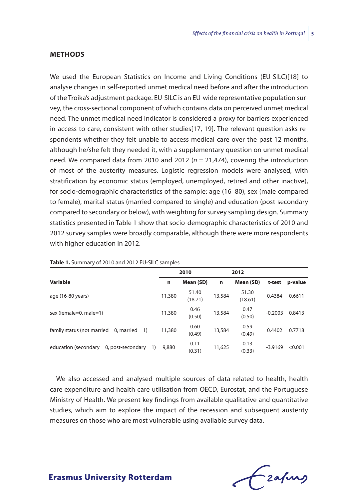## **Methods**

We used the European Statistics on Income and Living Conditions (EU-SILC)[18] to analyse changes in self-reported unmet medical need before and after the introduction of the Troika's adjustment package. EU-SILC is an EU-wide representative population survey, the cross-sectional component of which contains data on perceived unmet medical need. The unmet medical need indicator is considered a proxy for barriers experienced in access to care, consistent with other studies[17, 19]. The relevant question asks respondents whether they felt unable to access medical care over the past 12 months, although he/she felt they needed it, with a supplementary question on unmet medical need. We compared data from 2010 and 2012  $(n = 21,474)$ , covering the introduction of most of the austerity measures. Logistic regression models were analysed, with stratification by economic status (employed, unemployed, retired and other inactive), for socio-demographic characteristics of the sample: age (16–80), sex (male compared to female), marital status (married compared to single) and education (post-secondary compared to secondary or below), with weighting for survey sampling design. Summary statistics presented in Table 1 show that socio-demographic characteristics of 2010 and 2012 survey samples were broadly comparable, although there were more respondents with higher education in 2012.

|                                               | 2010   |                  | 2012   |                  |           |         |
|-----------------------------------------------|--------|------------------|--------|------------------|-----------|---------|
| Variable                                      | n      | Mean (SD)        | n      | Mean (SD)        | t-test    | p-value |
| age (16-80 years)                             | 11,380 | 51.40<br>(18.71) | 13,584 | 51.30<br>(18.61) | 0.4384    | 0.6611  |
| sex (female=0, male=1)                        | 11,380 | 0.46<br>(0.50)   | 13,584 | 0.47<br>(0.50)   | $-0.2003$ | 0.8413  |
| family status (not married = 0, married = 1)  | 11,380 | 0.60<br>(0.49)   | 13,584 | 0.59<br>(0.49)   | 0.4402    | 0.7718  |
| education (secondary = 0, post-secondary = 1) | 9,880  | 0.11<br>(0.31)   | 11,625 | 0.13<br>(0.33)   | $-3.9169$ | < 0.001 |

**Table 1.** Summary of 2010 and 2012 EU-SILC samples

We also accessed and analysed multiple sources of data related to health, health care expenditure and health care utilisation from OECD, Eurostat, and the Portuguese Ministry of Health. We present key findings from available qualitative and quantitative studies, which aim to explore the impact of the recession and subsequent austerity measures on those who are most vulnerable using available survey data.

frafing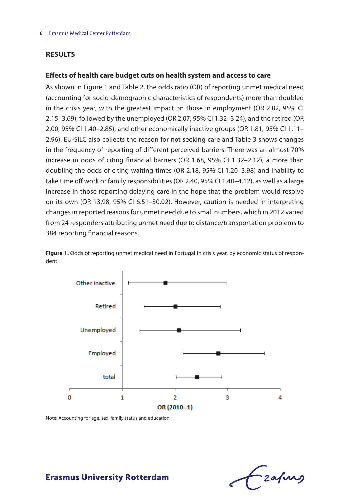## **Results**

### **Effects of health care budget cuts on health system and access to care**

As shown in Figure 1 and Table 2, the odds ratio (OR) of reporting unmet medical need (accounting for socio-demographic characteristics of respondents) more than doubled in the crisis year, with the greatest impact on those in employment (OR 2.82, 95% CI 2.15–3.69), followed by the unemployed (OR 2.07, 95% CI 1.32–3.24), and the retired (OR 2.00, 95% CI 1.40–2.85), and other economically inactive groups (OR 1.81, 95% CI 1.11– 2.96). EU-SILC also collects the reason for not seeking care and Table 3 shows changes in the frequency of reporting of different perceived barriers. There was an almost 70% increase in odds of citing financial barriers (OR 1.68, 95% CI 1.32–2.12), a more than doubling the odds of citing waiting times (OR 2.18, 95% CI 1.20–3.98) and inability to take time off work or family responsibilities (OR 2.40, 95% CI 1.40–4.12), as well as a large increase in those reporting delaying care in the hope that the problem would resolve on its own (OR 13.98, 95% CI 6.51–30.02). However, caution is needed in interpreting changes in reported reasons for unmet need due to small numbers, which in 2012 varied from 24 responders attributing unmet need due to distance/transportation problems to 384 reporting financial reasons.



Figure 1. Odds of reporting unmet medical need in Portugal in crisis year, by economic status of respondent

Note: Accounting for age, sex, family status and education

- zafung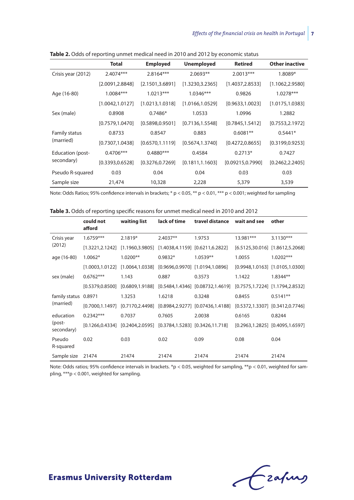|                                | <b>Total</b>     | <b>Employed</b>  | <b>Unemployed</b> | <b>Retired</b>    | <b>Other inactive</b> |
|--------------------------------|------------------|------------------|-------------------|-------------------|-----------------------|
| Crisis year (2012)             | 2.4074***        | 2.8164***        | 2.0693**          | $2.0013***$       | 1.8089*               |
|                                | [2.0091, 2.8848] | [2.1501, 3.6891] | [1.3230, 3.2365]  | [1.4037, 2.8533]  | [1.1062, 2.9580]      |
| Age (16-80)                    | 1.0084***        | $1.0213***$      | $1.0346***$       | 0.9826            | $1.0278***$           |
|                                | [1.0042, 1.0127] | [1.0213, 1.0318] | [1.0166, 1.0529]  | [0.9633, 1.0023]  | [1.0175, 1.0383]      |
| Sex (male)                     | 0.8908           | $0.7486*$        | 1.0533            | 1.0996            | 1.2882                |
|                                | [0.7579, 1.0470] | [0.5898, 0.9501] | [0.7136, 1.5548]  | [0.7845, 1.5412]  | [0.7553, 2.1972]      |
| Family status<br>(married)     | 0.8733           | 0.8547           | 0.883             | $0.6081**$        | $0.5441*$             |
|                                | [0.7307, 1.0438] | [0.6570, 1.1119] | [0.5674, 1.3740]  | [0.4272, 0.8655]  | [0.3199, 0.9253]      |
| Education (post-<br>secondary) | $0.4706***$      | $0.4880***$      | 0.4584            | $0.2713*$         | 0.7427                |
|                                | [0.3393, 0.6528] | [0.3276, 0.7269] | [0.1811, 1.1603]  | [0.09215, 0.7990] | [0.2462, 2.2405]      |
| Pseudo R-squared               | 0.03             | 0.04             | 0.04              | 0.03              | 0.03                  |
| Sample size                    | 21,474           | 10,328           | 2,228             | 5,379             | 3,539                 |

**Table 2.** Odds of reporting unmet medical need in 2010 and 2012 by economic status

Note: Odds Ratios; 95% confidence intervals in brackets; \* p < 0.05, \*\* p < 0.01, \*\*\* p < 0.001; weighted for sampling

|                                   | could not<br>afford | waiting list | lack of time | travel distance                                           | wait and see | other                                 |  |  |
|-----------------------------------|---------------------|--------------|--------------|-----------------------------------------------------------|--------------|---------------------------------------|--|--|
| Crisis year<br>(2012)             | $1.6759***$         | $2.1819*$    | $2.4037**$   | 1.9753                                                    | 13.981***    | $3.1130***$                           |  |  |
|                                   | [1.3221,2.1242]     |              |              | $[1.1960, 3.9805]$ $[1.4038, 4.1159]$ $[0.6211, 6.2822]$  |              | $[6.5125, 30.016]$ $[1.8612, 5.2068]$ |  |  |
| age (16-80)                       | 1.0062*             | $1.0200**$   | $0.9832*$    | $1.0539**$                                                | 1.0055       | $1.0202***$                           |  |  |
|                                   | [1.0003,1.0122]     |              |              | $[1.0064, 1.0338]$ $[0.9696, 0.9970]$ $[1.0194, 1.0896]$  |              | $[0.9948, 1.0163]$ $[1.0105, 1.0300]$ |  |  |
| sex (male)                        | $0.6762***$         | 1.143        | 0.887        | 0.3573                                                    | 1.1422       | $1.8344**$                            |  |  |
|                                   | [0.5379.0.8500]     |              |              | $[0.6809, 1.9188]$ $[0.5484, 1.4346]$ $[0.08732, 1.4619]$ |              | $[0.7575, 1.7224]$ $[1.1794, 2.8532]$ |  |  |
| family status<br>(married)        | 0.8971              | 1.3253       | 1.6218       | 0.3248                                                    | 0.8455       | $0.5141**$                            |  |  |
|                                   | [0.7000.1.1497]     |              |              | $[0.7170, 2.4498]$ $[0.8984, 2.9277]$ $[0.07436, 1.4188]$ |              | $[0.5372, 1.3307]$ $[0.3412, 0.7746]$ |  |  |
| education<br>(post-<br>secondary) | $0.2342***$         | 0.7037       | 0.7605       | 2.0038                                                    | 0.6165       | 0.8244                                |  |  |
|                                   | [0.1266.0.4334]     |              |              | $[0.2404, 2.0595]$ $[0.3784, 1.5283]$ $[0.3426, 11.718]$  |              | $[0.2963, 1.2825]$ $[0.4095, 1.6597]$ |  |  |
| Pseudo<br>R-squared               | 0.02                | 0.03         | 0.02         | 0.09                                                      | 0.08         | 0.04                                  |  |  |
| Sample size                       | 21474               | 21474        | 21474        | 21474                                                     | 21474        | 21474                                 |  |  |

Note: Odds ratios; 95% confidence intervals in brackets. \*p < 0.05, weighted for sampling, \*\*p < 0.01, weighted for sampling, \*\*\*p < 0.001, weighted for sampling.

Czapus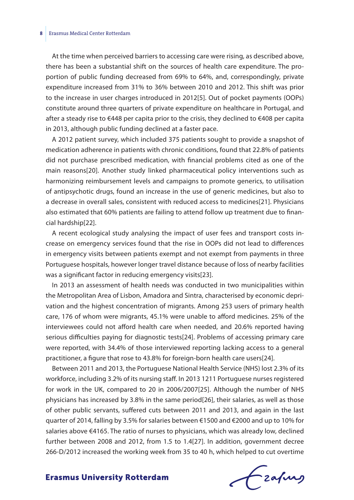#### **8** Erasmus Medical Center Rotterdam

At the time when perceived barriers to accessing care were rising, as described above, there has been a substantial shift on the sources of health care expenditure. The proportion of public funding decreased from 69% to 64%, and, correspondingly, private expenditure increased from 31% to 36% between 2010 and 2012. This shift was prior to the increase in user charges introduced in 2012[5]. Out of pocket payments (OOPs) constitute around three quarters of private expenditure on healthcare in Portugal, and after a steady rise to  $\epsilon$ 448 per capita prior to the crisis, they declined to  $\epsilon$ 408 per capita in 2013, although public funding declined at a faster pace.

A 2012 patient survey, which included 375 patients sought to provide a snapshot of medication adherence in patients with chronic conditions, found that 22.8% of patients did not purchase prescribed medication, with financial problems cited as one of the main reasons[20]. Another study linked pharmaceutical policy interventions such as harmonizing reimbursement levels and campaigns to promote generics, to utilisation of antipsychotic drugs, found an increase in the use of generic medicines, but also to a decrease in overall sales, consistent with reduced access to medicines[21]. Physicians also estimated that 60% patients are failing to attend follow up treatment due to financial hardship[22].

A recent ecological study analysing the impact of user fees and transport costs increase on emergency services found that the rise in OOPs did not lead to differences in emergency visits between patients exempt and not exempt from payments in three Portuguese hospitals, however longer travel distance because of loss of nearby facilities was a significant factor in reducing emergency visits[23].

In 2013 an assessment of health needs was conducted in two municipalities within the Metropolitan Area of Lisbon, Amadora and Sintra, characterised by economic deprivation and the highest concentration of migrants. Among 253 users of primary health care, 176 of whom were migrants, 45.1% were unable to afford medicines. 25% of the interviewees could not afford health care when needed, and 20.6% reported having serious difficulties paying for diagnostic tests[24]. Problems of accessing primary care were reported, with 34.4% of those interviewed reporting lacking access to a general practitioner, a figure that rose to 43.8% for foreign-born health care users[24].

Between 2011 and 2013, the Portuguese National Health Service (NHS) lost 2.3% of its workforce, including 3.2% of its nursing staff. In 2013 1211 Portuguese nurses registered for work in the UK, compared to 20 in 2006/2007[25]. Although the number of NHS physicians has increased by 3.8% in the same period[26], their salaries, as well as those of other public servants, suffered cuts between 2011 and 2013, and again in the last quarter of 2014, falling by 3.5% for salaries between €1500 and €2000 and up to 10% for salaries above €4165. The ratio of nurses to physicians, which was already low, declined further between 2008 and 2012, from 1.5 to 1.4[27]. In addition, government decree 266-D/2012 increased the working week from 35 to 40 h, which helped to cut overtime

Frahing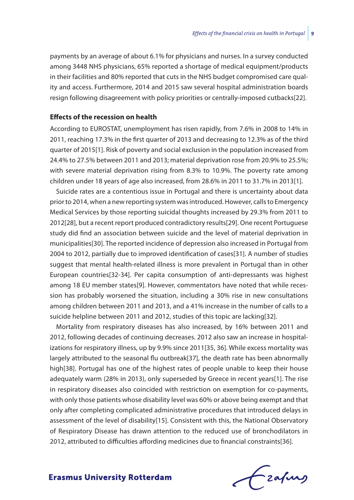payments by an average of about 6.1% for physicians and nurses. In a survey conducted among 3448 NHS physicians, 65% reported a shortage of medical equipment/products in their facilities and 80% reported that cuts in the NHS budget compromised care quality and access. Furthermore, 2014 and 2015 saw several hospital administration boards resign following disagreement with policy priorities or centrally-imposed cutbacks[22].

## **Effects of the recession on health**

According to EUROSTAT, unemployment has risen rapidly, from 7.6% in 2008 to 14% in 2011, reaching 17.3% in the first quarter of 2013 and decreasing to 12.3% as of the third quarter of 2015[1]. Risk of poverty and social exclusion in the population increased from 24.4% to 27.5% between 2011 and 2013; material deprivation rose from 20.9% to 25.5%; with severe material deprivation rising from 8.3% to 10.9%. The poverty rate among children under 18 years of age also increased, from 28.6% in 2011 to 31.7% in 2013[1].

Suicide rates are a contentious issue in Portugal and there is uncertainty about data priorto 2014, when a new reporting system wasintroduced.However, callsto Emergency Medical Services by those reporting suicidal thoughts increased by 29.3% from 2011 to 2012[28], but a recent report produced contradictory results[29]. One recent Portuguese study did find an association between suicide and the level of material deprivation in municipalities[30]. The reported incidence of depression also increased in Portugal from 2004 to 2012, partially due to improved identification of cases[31]. A number of studies suggest that mental health-related illness is more prevalent in Portugal than in other European countries[32-34]. Per capita consumption of anti-depressants was highest among 18 EU member states[9]. However, commentators have noted that while recession has probably worsened the situation, including a 30% rise in new consultations among children between 2011 and 2013, and a 41% increase in the number of calls to a suicide helpline between 2011 and 2012, studies of this topic are lacking[32].

Mortality from respiratory diseases has also increased, by 16% between 2011 and 2012, following decades of continuing decreases. 2012 also saw an increase in hospitalizations for respiratory illness, up by 9.9% since 2011[35, 36]. While excess mortality was largely attributed to the seasonal flu outbreak[37], the death rate has been abnormally high[38]. Portugal has one of the highest rates of people unable to keep their house adequately warm (28% in 2013), only superseded by Greece in recent years[1]. The rise in respiratory diseases also coincided with restriction on exemption for co-payments, with only those patients whose disability level was 60% or above being exempt and that only after completing complicated administrative procedures that introduced delays in assessment of the level of disability[15]. Consistent with this, the National Observatory of Respiratory Disease has drawn attention to the reduced use of bronchodilators in 2012, attributed to difficulties affording medicines due to financial constraints[36].

Czafing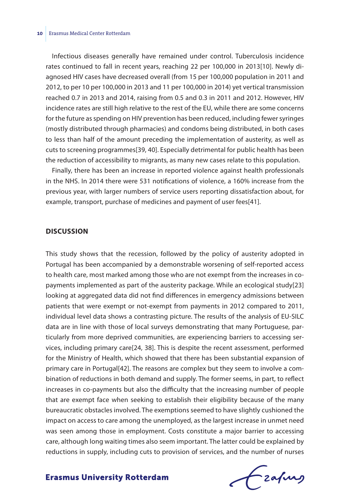Infectious diseases generally have remained under control. Tuberculosis incidence rates continued to fall in recent years, reaching 22 per 100,000 in 2013[10]. Newly diagnosed HIV cases have decreased overall (from 15 per 100,000 population in 2011 and 2012, to per 10 per 100,000 in 2013 and 11 per 100,000 in 2014) yet vertical transmission reached 0.7 in 2013 and 2014, raising from 0.5 and 0.3 in 2011 and 2012. However, HIV incidence rates are still high relative to the rest of the EU, while there are some concerns for the future as spending on HIV prevention has been reduced, including fewer syringes (mostly distributed through pharmacies) and condoms being distributed, in both cases to less than half of the amount preceding the implementation of austerity, as well as cuts to screening programmes[39, 40]. Especially detrimental for public health has been the reduction of accessibility to migrants, as many new cases relate to this population.

Finally, there has been an increase in reported violence against health professionals in the NHS. In 2014 there were 531 notifications of violence, a 160% increase from the previous year, with larger numbers of service users reporting dissatisfaction about, for example, transport, purchase of medicines and payment of user fees[41].

## **Discussion**

This study shows that the recession, followed by the policy of austerity adopted in Portugal has been accompanied by a demonstrable worsening of self-reported access to health care, most marked among those who are not exempt from the increases in copayments implemented as part of the austerity package. While an ecological study[23] looking at aggregated data did not find differences in emergency admissions between patients that were exempt or not-exempt from payments in 2012 compared to 2011, individual level data shows a contrasting picture. The results of the analysis of EU-SILC data are in line with those of local surveys demonstrating that many Portuguese, particularly from more deprived communities, are experiencing barriers to accessing services, including primary care[24, 38]. This is despite the recent assessment, performed for the Ministry of Health, which showed that there has been substantial expansion of primary care in Portugal[42]. The reasons are complex but they seem to involve a combination of reductions in both demand and supply. The former seems, in part, to reflect increases in co-payments but also the difficulty that the increasing number of people that are exempt face when seeking to establish their eligibility because of the many bureaucratic obstacles involved. The exemptions seemed to have slightly cushioned the impact on access to care among the unemployed, as the largest increase in unmet need was seen among those in employment. Costs constitute a major barrier to accessing care, although long waiting times also seem important. The latter could be explained by reductions in supply, including cuts to provision of services, and the number of nurses

frafing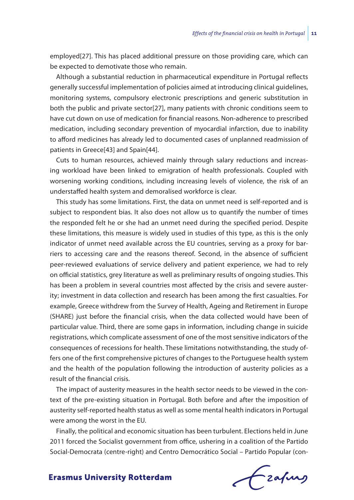employed[27]. This has placed additional pressure on those providing care, which can be expected to demotivate those who remain.

Although a substantial reduction in pharmaceutical expenditure in Portugal reflects generally successful implementation of policies aimed at introducing clinical guidelines, monitoring systems, compulsory electronic prescriptions and generic substitution in both the public and private sector[27], many patients with chronic conditions seem to have cut down on use of medication for financial reasons. Non-adherence to prescribed medication, including secondary prevention of myocardial infarction, due to inability to afford medicines has already led to documented cases of unplanned readmission of patients in Greece[43] and Spain[44].

Cuts to human resources, achieved mainly through salary reductions and increasing workload have been linked to emigration of health professionals. Coupled with worsening working conditions, including increasing levels of violence, the risk of an understaffed health system and demoralised workforce is clear.

This study has some limitations. First, the data on unmet need is self-reported and is subject to respondent bias. It also does not allow us to quantify the number of times the responded felt he or she had an unmet need during the specified period. Despite these limitations, this measure is widely used in studies of this type, as this is the only indicator of unmet need available across the EU countries, serving as a proxy for barriers to accessing care and the reasons thereof. Second, in the absence of sufficient peer-reviewed evaluations of service delivery and patient experience, we had to rely on official statistics, grey literature as well as preliminary results of ongoing studies. This has been a problem in several countries most affected by the crisis and severe austerity; investment in data collection and research has been among the first casualties. For example, Greece withdrew from the Survey of Health, Ageing and Retirement in Europe (SHARE) just before the financial crisis, when the data collected would have been of particular value. Third, there are some gaps in information, including change in suicide registrations, which complicate assessment of one of the most sensitive indicators of the consequences of recessions for health. These limitations notwithstanding, the study offers one of the first comprehensive pictures of changes to the Portuguese health system and the health of the population following the introduction of austerity policies as a result of the financial crisis.

The impact of austerity measures in the health sector needs to be viewed in the context of the pre-existing situation in Portugal. Both before and after the imposition of austerity self-reported health status as well as some mental health indicators in Portugal were among the worst in the EU.

Finally, the political and economic situation has been turbulent. Elections held in June 2011 forced the Socialist government from office, ushering in a coalition of the Partido Social-Democrata (centre-right) and Centro Democrático Social – Partido Popular (con-

frafing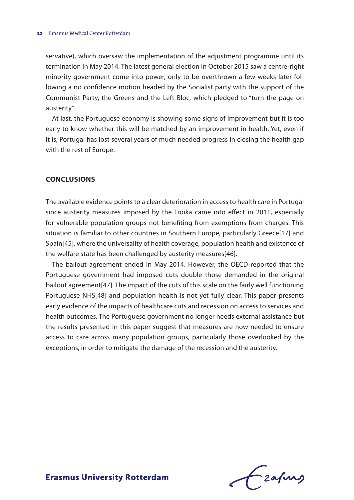servative), which oversaw the implementation of the adjustment programme until its termination in May 2014. The latest general election in October 2015 saw a centre-right minority government come into power, only to be overthrown a few weeks later following a no confidence motion headed by the Socialist party with the support of the Communist Party, the Greens and the Left Bloc, which pledged to "turn the page on austerity".

At last, the Portuguese economy is showing some signs of improvement but it is too early to know whether this will be matched by an improvement in health. Yet, even if it is, Portugal has lost several years of much needed progress in closing the health gap with the rest of Europe.

## **Conclusions**

The available evidence points to a clear deterioration in access to health care in Portugal since austerity measures imposed by the Troika came into effect in 2011, especially for vulnerable population groups not benefiting from exemptions from charges. This situation is familiar to other countries in Southern Europe, particularly Greece[17] and Spain[45], where the universality of health coverage, population health and existence of the welfare state has been challenged by austerity measures[46].

The bailout agreement ended in May 2014. However, the OECD reported that the Portuguese government had imposed cuts double those demanded in the original bailout agreement[47]. The impact of the cuts of this scale on the fairly well functioning Portuguese NHS[48] and population health is not yet fully clear. This paper presents early evidence of the impacts of healthcare cuts and recession on access to services and health outcomes. The Portuguese government no longer needs external assistance but the results presented in this paper suggest that measures are now needed to ensure access to care across many population groups, particularly those overlooked by the exceptions, in order to mitigate the damage of the recession and the austerity.

Lzafurs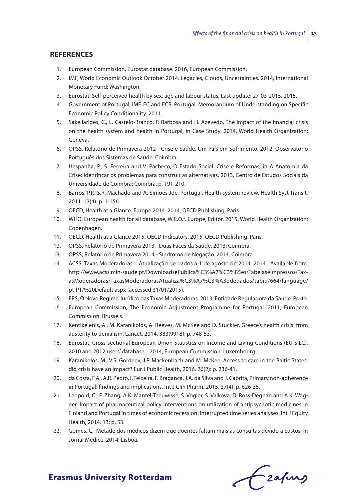## **References**

- 1. European Commission, Eurostat database. 2016, European Commission.
- 2. IMF, World Economic Outlook October 2014. Legacies, Clouds, Uncertainties. 2014, International Monetary Fund: Washington.
- 3. Eurostat, Self-perceived health by sex, age and labour status, Last update: 27-03-2015. 2015.
- 4. Government of Portugal, IMF, EC and ECB, Portugal: Memorandum of Understanding on Specific Economic Policy Conditionality. 2011.
- 5. Sakellarides, C., L. Castelo-Branco, P. Barbosa and H. Azevedo, The impact of the financial crisis on the health system and health in Portugal, in Case Study. 2014, World Health Organization: Geneva.
- 6. OPSS, Relatório de Primavera 2012 Crise e Saúde. Um País em Sofrimento. 2012, Observatório Português dos Sistemas de Saúde: Coimbra.
- 7. Hespanha, P., S. Ferreira and V. Pacheco, O Estado Social. Crise e Reformas, in A Anatomia da Crise: Identificar os problemas para construir as alternativas. 2013, Centro de Estudos Sociais da Universidade de Coimbra: Coimbra. p. 191-210.
- 8. Barros, P.P., S.R. Machado and A. Simoes Jde, Portugal. Health system review. Health Syst Transit, 2011. 13(4): p. 1-156.
- 9. OECD, Health at a Glance: Europe 2014. 2014, OECD Publishing: Paris.
- 10. WHO, European health for all database, W.R.O.f. Europe, Editor. 2015, World Health Organization: Copenhagen.
- 11. OECD, Health at a Glance 2015. OECD Indicators. 2015, OECD Publishing: Paris.
- 12. OPSS, Relatório de Primavera 2013 Duas Faces da Saúde. 2013: Coimbra.
- 13. OPSS, Relatório de Primavera 2014 Síndroma de Negação. 2014: Coimbra.
- 14. ACSS. Taxas Moderadoras Atualização de dados a 1 de agosto de 2014. 2014 ; Available from: http://www.acss.min-saude.pt/DownloadsePublica%C3%A7%C3%B5es/TabelaseImpressos/TaxasModeradoras/TaxasModeradorasAtualiza%C3%A7%C3%A3odedados/tabid/664/language/ pt-PT/%20Default.aspx (accessed 31/01/2015).
- 15. ERS, O Novo Regime Jurídico das Taxas Moderadoras. 2013, Entidade Reguladora da Saúde: Porto.
- 16. European Commission, The Economic Adjustment Programme for Portugal. 2011, European Commission: Brussels.
- 17. Kentikelenis, A., M. Karanikolos, A. Reeves, M. McKee and D. Stuckler, Greece's health crisis: from austerity to denialism. Lancet, 2014. 383(9918): p. 748-53.
- 18. Eurostat, Cross-sectional European Union Statistics on Income and Living Conditions (EU-SILC), 2010 and 2012 users' database. . 2014, European Commission: Luxembourg.
- 19. Karanikolos, M., V.S. Gordeev, J.P. Mackenbach and M. McKee, Access to care in the Baltic States: did crisis have an impact? Eur J Public Health, 2016. 26(2): p. 236-41.
- 20. da Costa, F.A., A.R. Pedro, I. Teixeira, F. Braganca, J.A. da Silva and J. Cabrita, Primary non-adherence in Portugal: findings and implications. Int J Clin Pharm, 2015. 37(4): p. 626-35.
- 21. Leopold, C., F. Zhang, A.K. Mantel-Teeuwisse, S. Vogler, S. Valkova, D. Ross-Degnan and A.K. Wagner, Impact of pharmaceutical policy interventions on utilization of antipsychotic medicines in Finland and Portugal in times of economic recession: interrupted time series analyses. Int J Equity Health, 2014. 13: p. 53.
- 22. Gomes, C., Metade dos médicos dizem que doentes faltam mais às consultas devido a custos, in Jornal Médico. 2014: Lisboa.

Czafing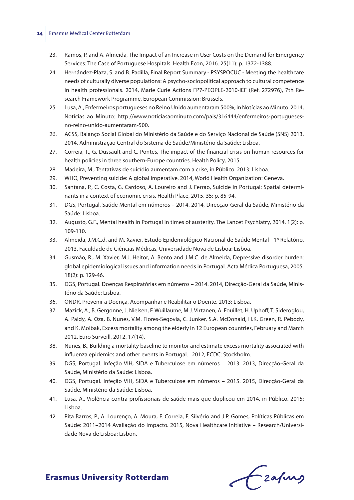#### **14** Erasmus Medical Center Rotterdam

- 23. Ramos, P. and A. Almeida, The Impact of an Increase in User Costs on the Demand for Emergency Services: The Case of Portuguese Hospitals. Health Econ, 2016. 25(11): p. 1372-1388.
- 24. Hernández-Plaza, S. and B. Padilla, Final Report Summary PSYSPOCUC Meeting the healthcare needs of culturally diverse populations: A psycho-sociopolitical approach to cultural competence in health professionals. 2014, Marie Curie Actions FP7-PEOPLE-2010-IEF (Ref. 272976), 7th Research Framework Programme, European Commission: Brussels.
- 25. Lusa, A., Enfermeiros portugueses no Reino Unido aumentaram 500%, in Notícias ao Minuto. 2014, Notícias ao Minuto: http://www.noticiasaominuto.com/pais/316444/enfermeiros-portuguesesno-reino-unido-aumentaram-500.
- 26. ACSS, Balanço Social Global do Ministério da Saúde e do Serviço Nacional de Saúde (SNS) 2013. 2014, Administração Central do Sistema de Saúde/Ministério da Saúde: Lisboa.
- 27. Correia, T., G. Dussault and C. Pontes, The impact of the financial crisis on human resources for health policies in three southern-Europe countries. Health Policy, 2015.
- 28. Madeira, M., Tentativas de suicídio aumentam com a crise, in Público. 2013: Lisboa.
- 29. WHO, Preventing suicide: A global imperative. 2014, World Health Organization: Geneva.
- 30. Santana, P., C. Costa, G. Cardoso, A. Loureiro and J. Ferrao, Suicide in Portugal: Spatial determinants in a context of economic crisis. Health Place, 2015. 35: p. 85-94.
- 31. DGS, Portugal. Saúde Mental em números 2014. 2014, Direcção-Geral da Saúde, Ministério da Saúde: Lisboa.
- 32. Augusto, G.F., Mental health in Portugal in times of austerity. The Lancet Psychiatry, 2014. 1(2): p. 109-110.
- 33. Almeida, J.M.C.d. and M. Xavier, Estudo Epidemiológico Nacional de Saúde Mental 1º Relatório. 2013, Faculdade de Ciências Médicas, Universidade Nova de Lisboa: Lisboa.
- 34. Gusmão, R., M. Xavier, M.J. Heitor, A. Bento and J.M.C. de Almeida, Depressive disorder burden: global epidemiological issues and information needs in Portugal. Acta Médica Portuguesa, 2005. 18(2): p. 129-46.
- 35. DGS, Portugal. Doenças Respiratórias em números 2014. 2014, Direcção-Geral da Saúde, Ministério da Saúde: Lisboa.
- 36. ONDR, Prevenir a Doença, Acompanhar e Reabilitar o Doente. 2013: Lisboa.
- 37. Mazick, A., B. Gergonne, J. Nielsen, F. Wuillaume, M.J. Virtanen, A. Fouillet, H. Uphoff, T. Sideroglou, A. Paldy, A. Oza, B. Nunes, V.M. Flores-Segovia, C. Junker, S.A. McDonald, H.K. Green, R. Pebody, and K. Molbak, Excess mortality among the elderly in 12 European countries, February and March 2012. Euro Surveill, 2012. 17(14).
- 38. Nunes, B., Building a mortality baseline to monitor and estimate excess mortality associated with influenza epidemics and other events in Portugal. . 2012, ECDC: Stockholm.
- 39. DGS, Portugal. Infeção VIH, SIDA e Tuberculose em números 2013. 2013, Direcção-Geral da Saúde, Ministério da Saúde: Lisboa.
- 40. DGS, Portugal. Infeção VIH, SIDA e Tuberculose em números 2015. 2015, Direcção-Geral da Saúde, Ministério da Saúde: Lisboa.
- 41. Lusa, A., Violência contra profissionais de saúde mais que duplicou em 2014, in Público. 2015: Lisboa.
- 42. Pita Barros, P., A. Lourenço, A. Moura, F. Correia, F. Silvério and J.P. Gomes, Políticas Públicas em Saúde: 2011–2014 Avaliação do Impacto. 2015, Nova Healthcare Initiative – Research/Universidade Nova de Lisboa: Lisbon.

frafing